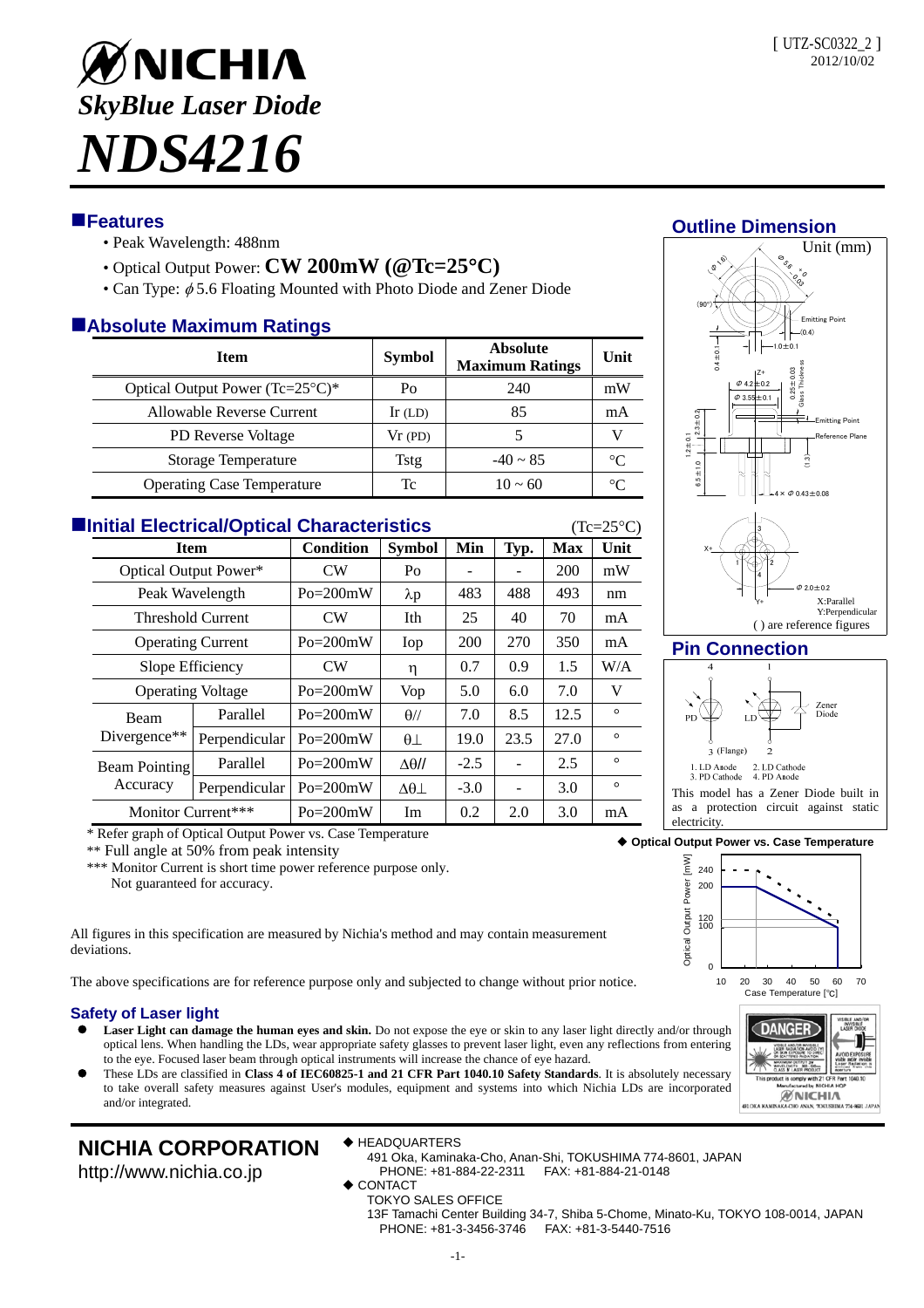

# **Features**

- Peak Wavelength: 488nm
- Optical Output Power: **CW 200mW (@Tc=25C)**
- Can Type:  $\phi$  5.6 Floating Mounted with Photo Diode and Zener Diode

# **Absolute Maximum Ratings**

| <b>Item</b>                       | <b>Symbol</b> | <b>Absolute</b><br><b>Maximum Ratings</b> | Unit     |  |  |  |  |  |  |
|-----------------------------------|---------------|-------------------------------------------|----------|--|--|--|--|--|--|
| Optical Output Power (Tc=25°C)*   | Po            | 240                                       | mW       |  |  |  |  |  |  |
| <b>Allowable Reverse Current</b>  | $Ir$ (LD)     | 85                                        | mA       |  |  |  |  |  |  |
| <b>PD</b> Reverse Voltage         | Vr(PD)        |                                           |          |  |  |  |  |  |  |
| Storage Temperature               | Tstg          | $-40 \sim 85$                             | $\Gamma$ |  |  |  |  |  |  |
| <b>Operating Case Temperature</b> | Тc            | $10 \sim 60$                              |          |  |  |  |  |  |  |

| <b>Elnitial Electrical/Optical Characteristics</b><br>$(Tc=25\textdegree C)$ |                                  |               |                  |                   |        |      |            |         |  |  |
|------------------------------------------------------------------------------|----------------------------------|---------------|------------------|-------------------|--------|------|------------|---------|--|--|
|                                                                              | <b>Item</b>                      |               | <b>Condition</b> | <b>Symbol</b>     | Min    | Typ. | <b>Max</b> | Unit    |  |  |
|                                                                              | Optical Output Power*            |               | CW <sub></sub>   | Po                |        |      | 200        | mW      |  |  |
|                                                                              | Peak Wavelength                  |               | $Po = 200mW$     | $\lambda p$       | 483    | 488  | 493        | nm      |  |  |
|                                                                              | <b>Threshold Current</b>         |               | <b>CW</b>        | Ith               | 25     | 40   | 70         | mA      |  |  |
|                                                                              | <b>Operating Current</b>         |               | $Po = 200mW$     | Iop               | 200    | 270  | 350        | mA      |  |  |
|                                                                              | Slope Efficiency                 |               | CW <sub></sub>   | η                 | 0.7    | 0.9  | 1.5        | W/A     |  |  |
|                                                                              | <b>Operating Voltage</b>         |               | $Po = 200mW$     | Vop               | 5.0    | 6.0  | 7.0        | V       |  |  |
|                                                                              | Beam<br>Divergence $**$          | Parallel      | $Po = 200mW$     | $\theta$ //       | 7.0    | 8.5  | 12.5       | $\circ$ |  |  |
|                                                                              |                                  | Perpendicular | $Po = 200mW$     | $\theta$ $\perp$  | 19.0   | 23.5 | 27.0       | $\circ$ |  |  |
|                                                                              | <b>Beam Pointing</b><br>Accuracy | Parallel      | $Po = 200mW$     | $\Delta\theta$ // | $-2.5$ |      | 2.5        | $\circ$ |  |  |
|                                                                              |                                  | Perpendicular | $Po = 200mW$     | $\Delta\theta$    | $-3.0$ |      | 3.0        | $\circ$ |  |  |
|                                                                              | Monitor Current***               |               | $Po = 200mW$     | Im                | 0.2    | 2.0  | 3.0        | mA      |  |  |

\* Refer graph of Optical Output Power vs. Case Temperature

\*\* Full angle at 50% from peak intensity

\*\*\* Monitor Current is short time power reference purpose only. Not guaranteed for accuracy.

All figures in this specification are measured by Nichia's method and may contain measurement deviations.

The above specifications are for reference purpose only and subjected to change without prior notice.

## **Safety of Laser light**

- **Laser Light can damage the human eyes and skin.** Do not expose the eye or skin to any laser light directly and/or through optical lens. When handling the LDs, wear appropriate safety glasses to prevent laser light, even any reflections from entering to the eye. Focused laser beam through optical instruments will increase the chance of eye hazard.
- These LDs are classified in **Class 4 of IEC60825-1 and 21 CFR Part 1040.10 Safety Standards**. It is absolutely necessary to take overall safety measures against User's modules, equipment and systems into which Nichia LDs are incorporated and/or integrated.

**NICHIA CORPORATION** http://www.nichia.co.jp

#### ◆ HEADQUARTERS

491 Oka, Kaminaka-Cho, Anan-Shi, TOKUSHIMA 774-8601, JAPAN PHONE: +81-884-22-2311 FAX: +81-884-21-0148

- **CONTACT**
- TOKYO SALES OFFICE

13F Tamachi Center Building 34-7, Shiba 5-Chome, Minato-Ku, TOKYO 108-0014, JAPAN PHONE: +81-3-3456-3746 FAX: +81-3-5440-7516





### **Pin Connection**



This model has a Zener Diode built in as a protection circuit against static electricity

### **Optical Output Power vs. Case Temperature**



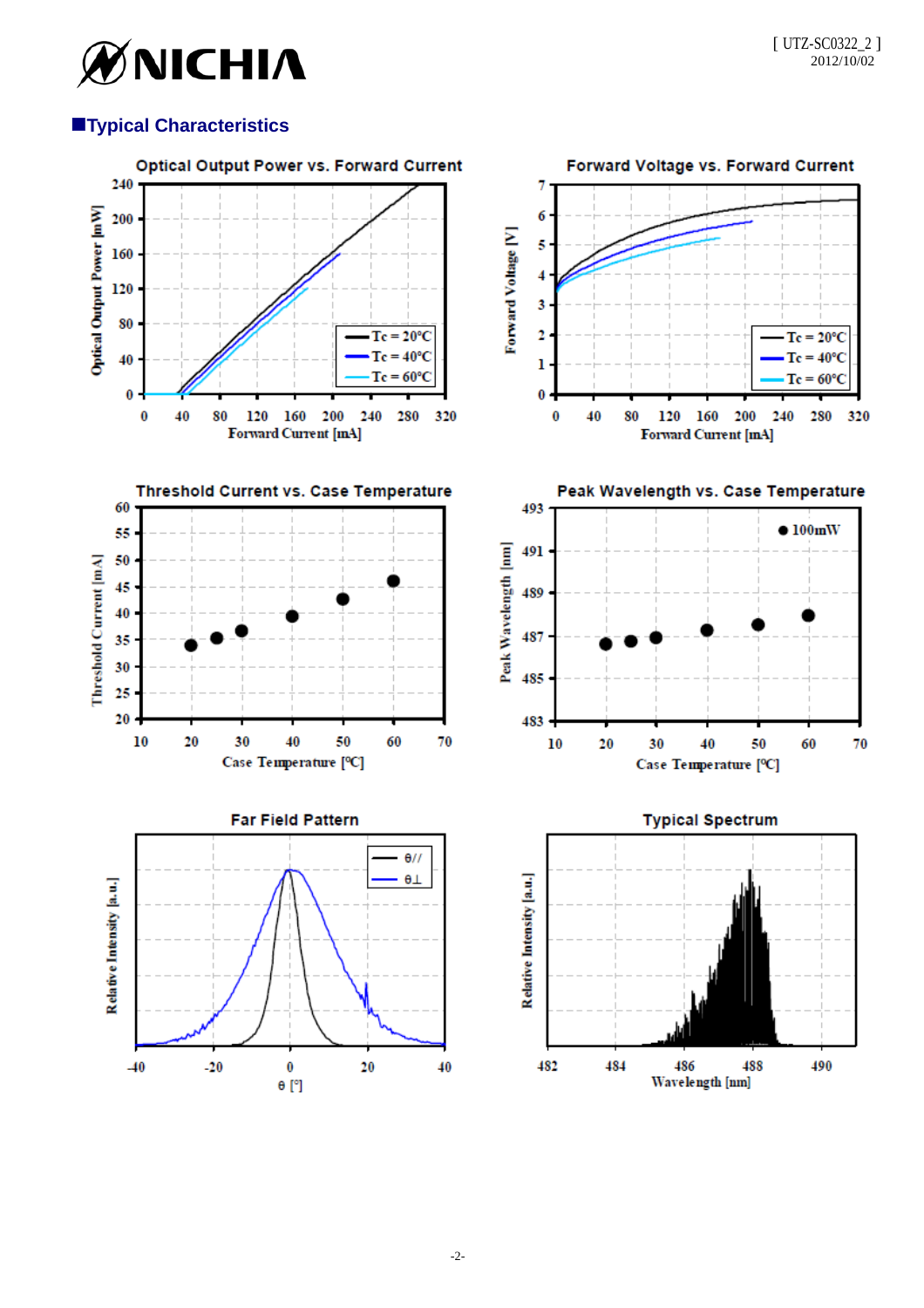

# **Typical Characteristics**